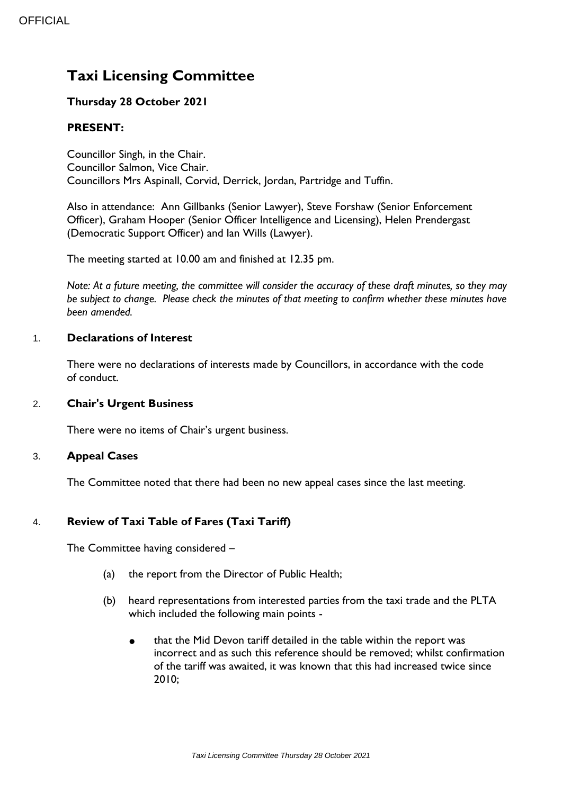# **Taxi Licensing Committee**

# **Thursday 28 October 2021**

# **PRESENT:**

Councillor Singh, in the Chair. Councillor Salmon, Vice Chair. Councillors Mrs Aspinall, Corvid, Derrick, Jordan, Partridge and Tuffin.

Also in attendance: Ann Gillbanks (Senior Lawyer), Steve Forshaw (Senior Enforcement Officer), Graham Hooper (Senior Officer Intelligence and Licensing), Helen Prendergast (Democratic Support Officer) and Ian Wills (Lawyer).

The meeting started at 10.00 am and finished at 12.35 pm.

*Note: At a future meeting, the committee will consider the accuracy of these draft minutes, so they may be subject to change. Please check the minutes of that meeting to confirm whether these minutes have been amended.*

## 1. **Declarations of Interest**

There were no declarations of interests made by Councillors, in accordance with the code of conduct.

## 2. **Chair's Urgent Business**

There were no items of Chair's urgent business.

#### 3. **Appeal Cases**

The Committee noted that there had been no new appeal cases since the last meeting.

## 4. **Review of Taxi Table of Fares (Taxi Tariff)**

The Committee having considered –

- (a) the report from the Director of Public Health;
- (b) heard representations from interested parties from the taxi trade and the PLTA which included the following main points -
	- that the Mid Devon tariff detailed in the table within the report was incorrect and as such this reference should be removed; whilst confirmation of the tariff was awaited, it was known that this had increased twice since 2010;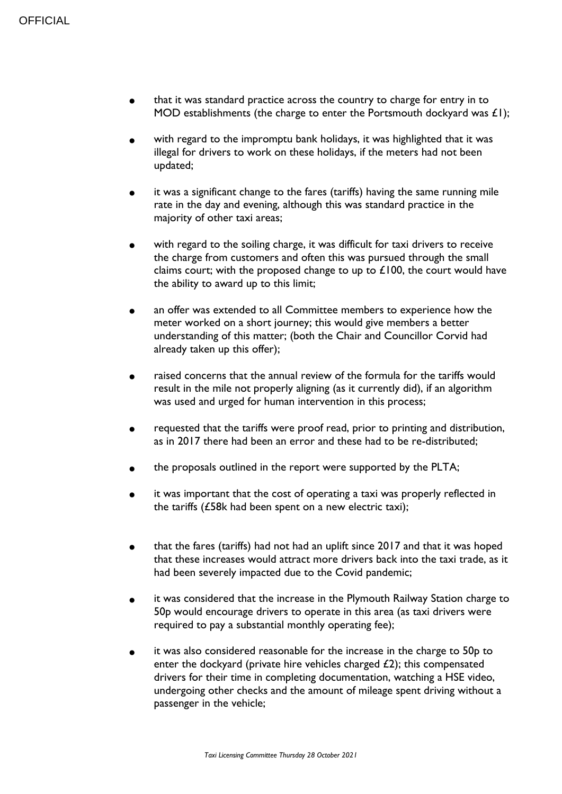- that it was standard practice across the country to charge for entry in to MOD establishments (the charge to enter the Portsmouth dockyard was  $E(1)$ ;
- with regard to the impromptu bank holidays, it was highlighted that it was illegal for drivers to work on these holidays, if the meters had not been updated;
- **●** it was a significant change to the fares (tariffs) having the same running mile rate in the day and evening, although this was standard practice in the majority of other taxi areas;
- **●** with regard to the soiling charge, it was difficult for taxi drivers to receive the charge from customers and often this was pursued through the small claims court; with the proposed change to up to  $£100$ , the court would have the ability to award up to this limit;
- **●** an offer was extended to all Committee members to experience how the meter worked on a short journey; this would give members a better understanding of this matter; (both the Chair and Councillor Corvid had already taken up this offer);
- **●** raised concerns that the annual review of the formula for the tariffs would result in the mile not properly aligning (as it currently did), if an algorithm was used and urged for human intervention in this process;
- requested that the tariffs were proof read, prior to printing and distribution, as in 2017 there had been an error and these had to be re-distributed;
- the proposals outlined in the report were supported by the PLTA;
- it was important that the cost of operating a taxi was properly reflected in the tariffs (£58k had been spent on a new electric taxi);
- **●** that the fares (tariffs) had not had an uplift since 2017 and that it was hoped that these increases would attract more drivers back into the taxi trade, as it had been severely impacted due to the Covid pandemic;
- **●** it was considered that the increase in the Plymouth Railway Station charge to 50p would encourage drivers to operate in this area (as taxi drivers were required to pay a substantial monthly operating fee);
- **●** it was also considered reasonable for the increase in the charge to 50p to enter the dockyard (private hire vehicles charged  $E$ 2); this compensated drivers for their time in completing documentation, watching a HSE video, undergoing other checks and the amount of mileage spent driving without a passenger in the vehicle;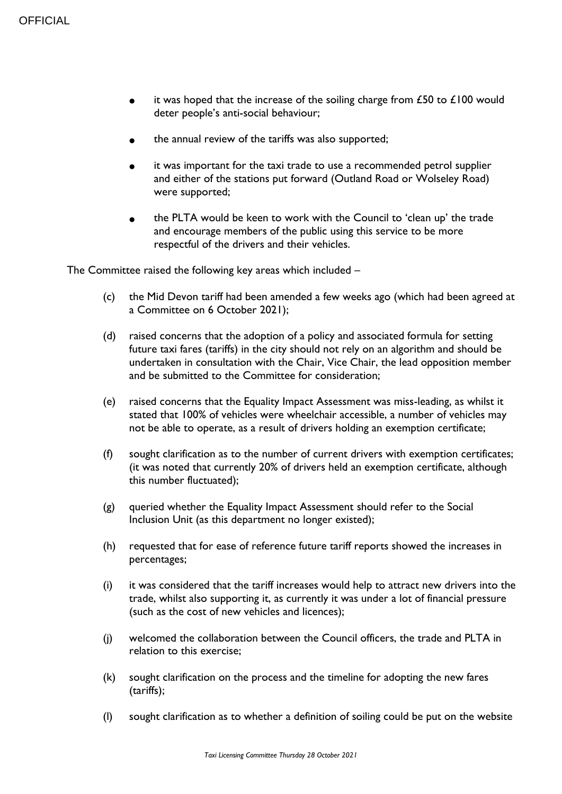- it was hoped that the increase of the soiling charge from  $£50$  to  $£100$  would deter people's anti-social behaviour;
- the annual review of the tariffs was also supported;
- it was important for the taxi trade to use a recommended petrol supplier and either of the stations put forward (Outland Road or Wolseley Road) were supported;
- **●** the PLTA would be keen to work with the Council to 'clean up' the trade and encourage members of the public using this service to be more respectful of the drivers and their vehicles.

The Committee raised the following key areas which included –

- (c) the Mid Devon tariff had been amended a few weeks ago (which had been agreed at a Committee on 6 October 2021);
- (d) raised concerns that the adoption of a policy and associated formula for setting future taxi fares (tariffs) in the city should not rely on an algorithm and should be undertaken in consultation with the Chair, Vice Chair, the lead opposition member and be submitted to the Committee for consideration;
- (e) raised concerns that the Equality Impact Assessment was miss-leading, as whilst it stated that 100% of vehicles were wheelchair accessible, a number of vehicles may not be able to operate, as a result of drivers holding an exemption certificate;
- (f) sought clarification as to the number of current drivers with exemption certificates; (it was noted that currently 20% of drivers held an exemption certificate, although this number fluctuated);
- (g) queried whether the Equality Impact Assessment should refer to the Social Inclusion Unit (as this department no longer existed);
- (h) requested that for ease of reference future tariff reports showed the increases in percentages;
- (i) it was considered that the tariff increases would help to attract new drivers into the trade, whilst also supporting it, as currently it was under a lot of financial pressure (such as the cost of new vehicles and licences);
- (j) welcomed the collaboration between the Council officers, the trade and PLTA in relation to this exercise;
- (k) sought clarification on the process and the timeline for adopting the new fares (tariffs);
- (l) sought clarification as to whether a definition of soiling could be put on the website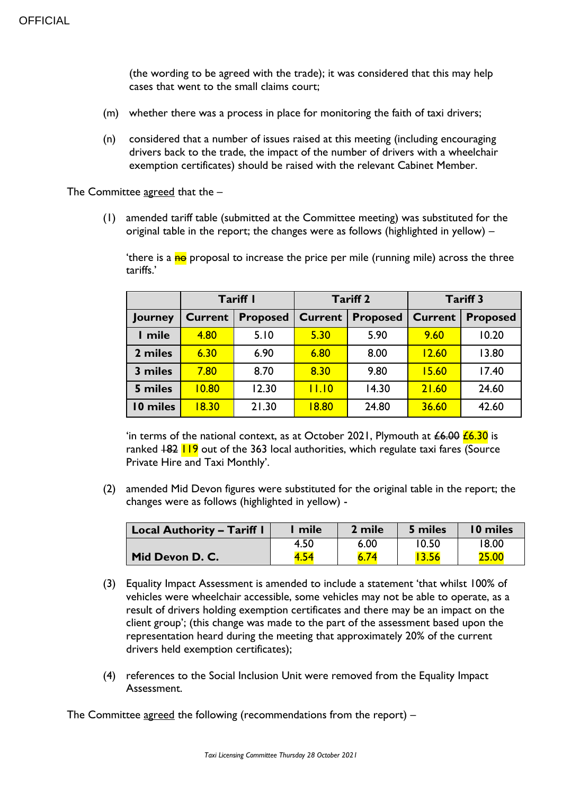(the wording to be agreed with the trade); it was considered that this may help cases that went to the small claims court;

- (m) whether there was a process in place for monitoring the faith of taxi drivers;
- (n) considered that a number of issues raised at this meeting (including encouraging drivers back to the trade, the impact of the number of drivers with a wheelchair exemption certificates) should be raised with the relevant Cabinet Member.

The Committee agreed that the –

(1) amended tariff table (submitted at the Committee meeting) was substituted for the original table in the report; the changes were as follows (highlighted in yellow) –

'there is a no proposal to increase the price per mile (running mile) across the three tariffs.'

|          | Tariff I       |                 | <b>Tariff 2</b> |                 | <b>Tariff 3</b> |                 |
|----------|----------------|-----------------|-----------------|-----------------|-----------------|-----------------|
| Journey  | <b>Current</b> | <b>Proposed</b> | <b>Current</b>  | <b>Proposed</b> | <b>Current</b>  | <b>Proposed</b> |
| I mile   | 4.80           | 5.10            | 5.30            | 5.90            | 9.60            | 10.20           |
| 2 miles  | 6.30           | 6.90            | 6.80            | 8.00            | 12.60           | 13.80           |
| 3 miles  | 7.80           | 8.70            | 8.30            | 9.80            | 15.60           | 17.40           |
| 5 miles  | 10.80          | 12.30           | 11.10           | 14.30           | 21.60           | 24.60           |
| 10 miles | 18.30          | 21.30           | 18.80           | 24.80           | 36.60           | 42.60           |

'in terms of the national context, as at October 2021, Plymouth at  $\angle 6.00 \angle 6.30$  is ranked  $182$   $119$  out of the 363 local authorities, which regulate taxi fares (Source Private Hire and Taxi Monthly'.

(2) amended Mid Devon figures were substituted for the original table in the report; the changes were as follows (highlighted in yellow) -

| Local Authority – Tariff I | mile | 2 mile | 5 miles | 10 miles |
|----------------------------|------|--------|---------|----------|
|                            | 4.50 | 6.00   | 10.50   | 18.00    |
| Mid Devon D. C.            |      |        |         | 25.00    |

- (3) Equality Impact Assessment is amended to include a statement 'that whilst 100% of vehicles were wheelchair accessible, some vehicles may not be able to operate, as a result of drivers holding exemption certificates and there may be an impact on the client group'; (this change was made to the part of the assessment based upon the representation heard during the meeting that approximately 20% of the current drivers held exemption certificates);
- (4) references to the Social Inclusion Unit were removed from the Equality Impact Assessment.

The Committee agreed the following (recommendations from the report) –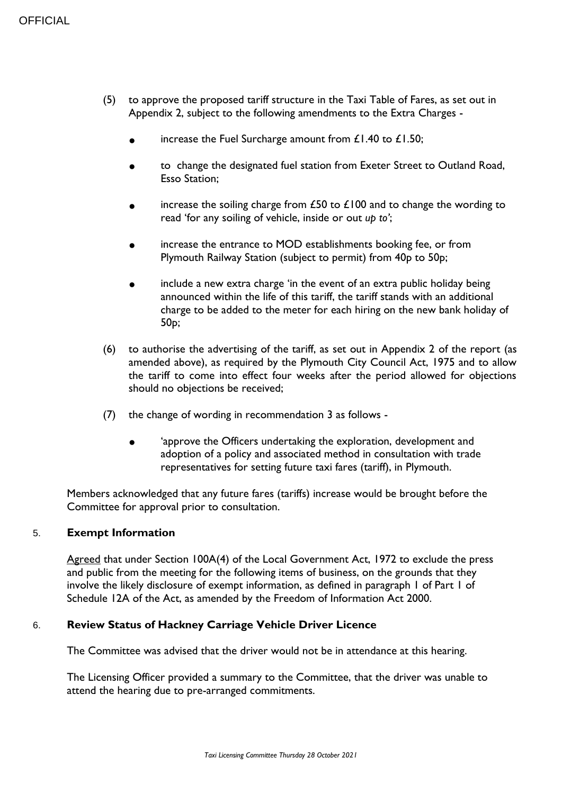- (5) to approve the proposed tariff structure in the Taxi Table of Fares, as set out in Appendix 2, subject to the following amendments to the Extra Charges
	- increase the Fuel Surcharge amount from  $£1.40$  to  $£1.50;$
	- to change the designated fuel station from Exeter Street to Outland Road, Esso Station;
	- increase the soiling charge from  $£50$  to  $£100$  and to change the wording to read 'for any soiling of vehicle, inside or out *up to'*;
	- increase the entrance to MOD establishments booking fee, or from Plymouth Railway Station (subject to permit) from 40p to 50p;
	- include a new extra charge 'in the event of an extra public holiday being announced within the life of this tariff, the tariff stands with an additional charge to be added to the meter for each hiring on the new bank holiday of 50p;
- (6) to authorise the advertising of the tariff, as set out in Appendix 2 of the report (as amended above), as required by the Plymouth City Council Act, 1975 and to allow the tariff to come into effect four weeks after the period allowed for objections should no objections be received;
- (7) the change of wording in recommendation 3 as follows
	- 'approve the Officers undertaking the exploration, development and adoption of a policy and associated method in consultation with trade representatives for setting future taxi fares (tariff), in Plymouth.

Members acknowledged that any future fares (tariffs) increase would be brought before the Committee for approval prior to consultation.

#### 5. **Exempt Information**

Agreed that under Section 100A(4) of the Local Government Act, 1972 to exclude the press and public from the meeting for the following items of business, on the grounds that they involve the likely disclosure of exempt information, as defined in paragraph 1 of Part 1 of Schedule 12A of the Act, as amended by the Freedom of Information Act 2000.

## 6. **Review Status of Hackney Carriage Vehicle Driver Licence**

The Committee was advised that the driver would not be in attendance at this hearing.

The Licensing Officer provided a summary to the Committee, that the driver was unable to attend the hearing due to pre-arranged commitments.